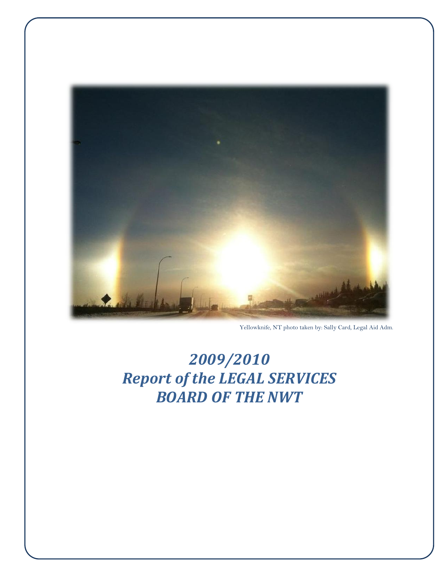

Yellowknife, NT photo taken by: Sally Card, Legal Aid Adm.

*2009/2010 Report of the LEGAL SERVICES BOARD OF THE NWT*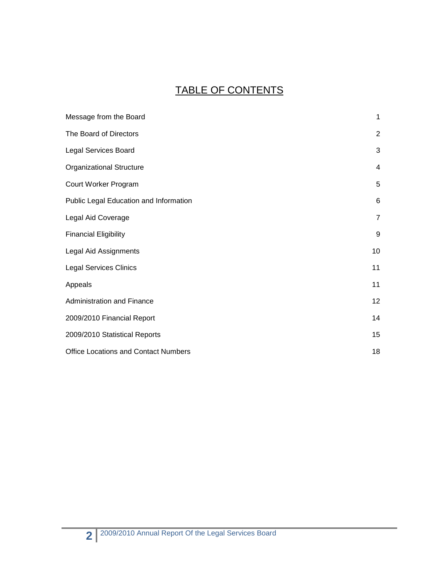# TABLE OF CONTENTS

| Message from the Board                      | 1              |
|---------------------------------------------|----------------|
| The Board of Directors                      | $\overline{2}$ |
| <b>Legal Services Board</b>                 | 3              |
| <b>Organizational Structure</b>             | 4              |
| Court Worker Program                        | 5              |
| Public Legal Education and Information      | 6              |
| Legal Aid Coverage                          | $\overline{7}$ |
| <b>Financial Eligibility</b>                | 9              |
| Legal Aid Assignments                       | 10             |
| <b>Legal Services Clinics</b>               | 11             |
| Appeals                                     | 11             |
| Administration and Finance                  | 12             |
| 2009/2010 Financial Report                  | 14             |
| 2009/2010 Statistical Reports               | 15             |
| <b>Office Locations and Contact Numbers</b> | 18             |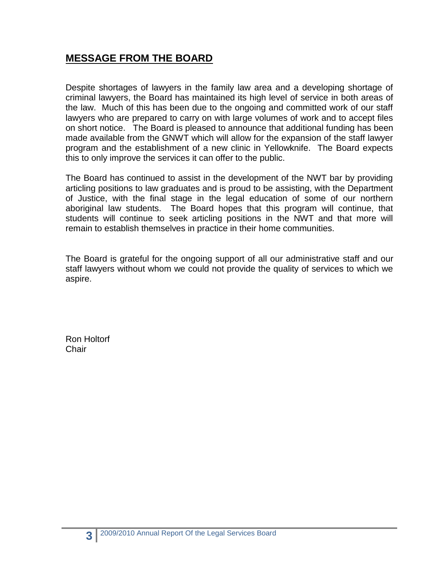## **MESSAGE FROM THE BOARD**

Despite shortages of lawyers in the family law area and a developing shortage of criminal lawyers, the Board has maintained its high level of service in both areas of the law. Much of this has been due to the ongoing and committed work of our staff lawyers who are prepared to carry on with large volumes of work and to accept files on short notice. The Board is pleased to announce that additional funding has been made available from the GNWT which will allow for the expansion of the staff lawyer program and the establishment of a new clinic in Yellowknife. The Board expects this to only improve the services it can offer to the public.

The Board has continued to assist in the development of the NWT bar by providing articling positions to law graduates and is proud to be assisting, with the Department of Justice, with the final stage in the legal education of some of our northern aboriginal law students. The Board hopes that this program will continue, that students will continue to seek articling positions in the NWT and that more will remain to establish themselves in practice in their home communities.

The Board is grateful for the ongoing support of all our administrative staff and our staff lawyers without whom we could not provide the quality of services to which we aspire.

Ron Holtorf **Chair**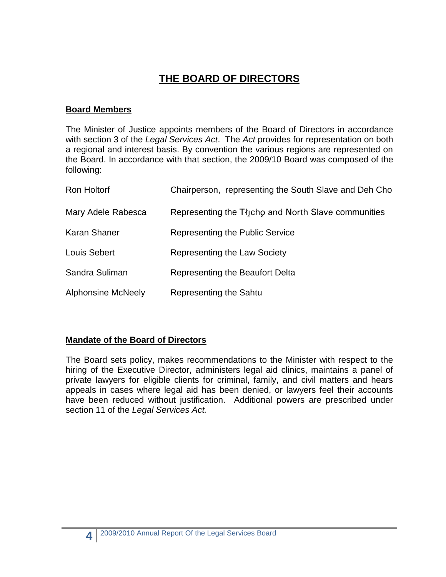# **THE BOARD OF DIRECTORS**

#### **Board Members**

The Minister of Justice appoints members of the Board of Directors in accordance with section 3 of the *Legal Services Act*. The *Act* provides for representation on both a regional and interest basis. By convention the various regions are represented on the Board. In accordance with that section, the 2009/10 Board was composed of the following:

| Ron Holtorf               | Chairperson, representing the South Slave and Deh Cho |
|---------------------------|-------------------------------------------------------|
| Mary Adele Rabesca        | Representing the Thicho and North Slave communities   |
| <b>Karan Shaner</b>       | Representing the Public Service                       |
| Louis Sebert              | <b>Representing the Law Society</b>                   |
| Sandra Suliman            | Representing the Beaufort Delta                       |
| <b>Alphonsine McNeely</b> | Representing the Sahtu                                |

### **Mandate of the Board of Directors**

The Board sets policy, makes recommendations to the Minister with respect to the hiring of the Executive Director, administers legal aid clinics, maintains a panel of private lawyers for eligible clients for criminal, family, and civil matters and hears appeals in cases where legal aid has been denied, or lawyers feel their accounts have been reduced without justification. Additional powers are prescribed under section 11 of the *Legal Services Act.*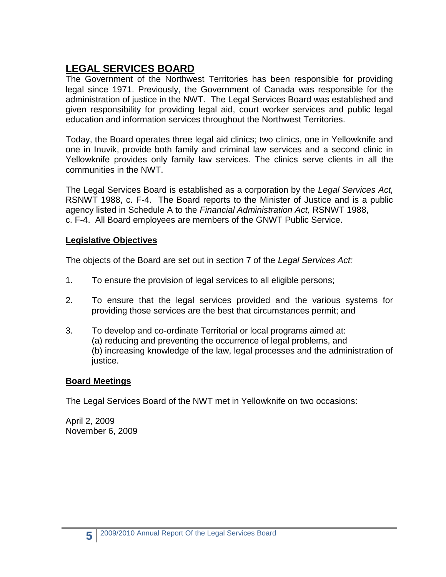# **LEGAL SERVICES BOARD**

The Government of the Northwest Territories has been responsible for providing legal since 1971. Previously, the Government of Canada was responsible for the administration of justice in the NWT. The Legal Services Board was established and given responsibility for providing legal aid, court worker services and public legal education and information services throughout the Northwest Territories.

Today, the Board operates three legal aid clinics; two clinics, one in Yellowknife and one in Inuvik, provide both family and criminal law services and a second clinic in Yellowknife provides only family law services. The clinics serve clients in all the communities in the NWT.

The Legal Services Board is established as a corporation by the *Legal Services Act,* RSNWT 1988, c. F-4. The Board reports to the Minister of Justice and is a public agency listed in Schedule A to the *Financial Administration Act,* RSNWT 1988, c. F-4. All Board employees are members of the GNWT Public Service.

### **Legislative Objectives**

The objects of the Board are set out in section 7 of the *Legal Services Act:* 

- 1. To ensure the provision of legal services to all eligible persons;
- 2. To ensure that the legal services provided and the various systems for providing those services are the best that circumstances permit; and
- 3. To develop and co-ordinate Territorial or local programs aimed at: (a) reducing and preventing the occurrence of legal problems, and (b) increasing knowledge of the law, legal processes and the administration of justice.

### **Board Meetings**

The Legal Services Board of the NWT met in Yellowknife on two occasions:

April 2, 2009 November 6, 2009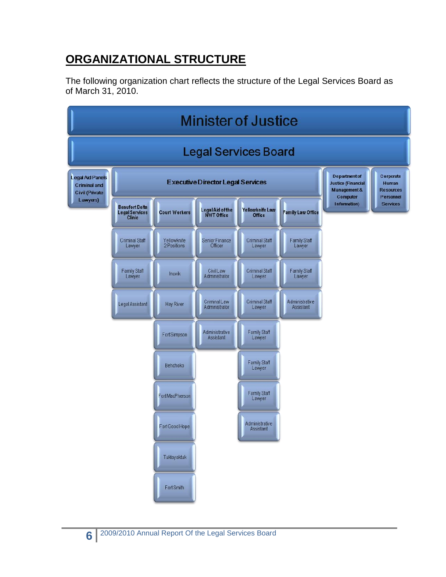# **ORGANIZATIONAL STRUCTURE**

The following organization chart reflects the structure of the Legal Services Board as of March 31, 2010.

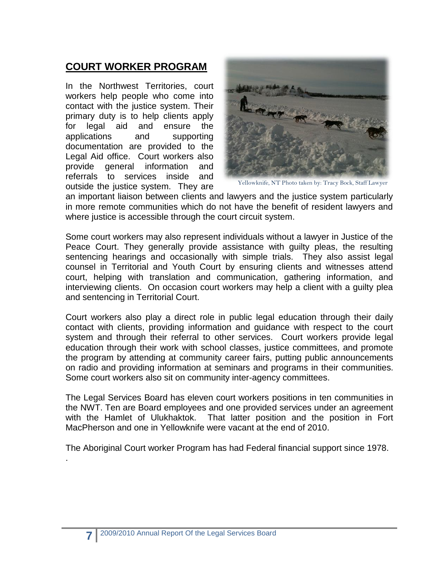# **COURT WORKER PROGRAM**

In the Northwest Territories, court workers help people who come into contact with the justice system. Their primary duty is to help clients apply for legal aid and ensure the applications and supporting documentation are provided to the Legal Aid office. Court workers also provide general information and referrals to services inside and outside the justice system. They are



Yellowknife, NT Photo taken by: Tracy Bock, Staff Lawyer

an important liaison between clients and lawyers and the justice system particularly in more remote communities which do not have the benefit of resident lawyers and where justice is accessible through the court circuit system.

Some court workers may also represent individuals without a lawyer in Justice of the Peace Court. They generally provide assistance with guilty pleas, the resulting sentencing hearings and occasionally with simple trials. They also assist legal counsel in Territorial and Youth Court by ensuring clients and witnesses attend court, helping with translation and communication, gathering information, and interviewing clients. On occasion court workers may help a client with a guilty plea and sentencing in Territorial Court.

Court workers also play a direct role in public legal education through their daily contact with clients, providing information and guidance with respect to the court system and through their referral to other services. Court workers provide legal education through their work with school classes, justice committees, and promote the program by attending at community career fairs, putting public announcements on radio and providing information at seminars and programs in their communities. Some court workers also sit on community inter-agency committees.

The Legal Services Board has eleven court workers positions in ten communities in the NWT. Ten are Board employees and one provided services under an agreement with the Hamlet of Ulukhaktok. That latter position and the position in Fort MacPherson and one in Yellowknife were vacant at the end of 2010.

The Aboriginal Court worker Program has had Federal financial support since 1978.

.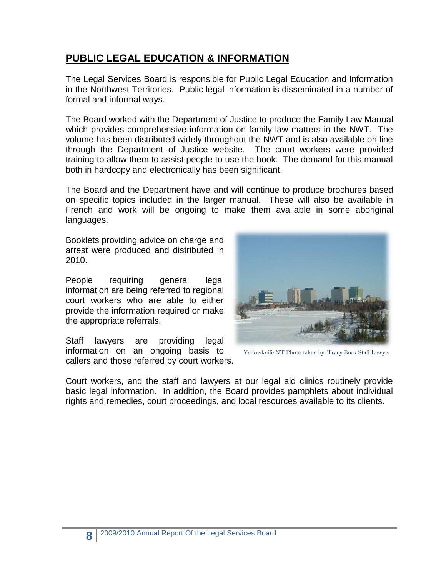# **PUBLIC LEGAL EDUCATION & INFORMATION**

The Legal Services Board is responsible for Public Legal Education and Information in the Northwest Territories. Public legal information is disseminated in a number of formal and informal ways.

The Board worked with the Department of Justice to produce the Family Law Manual which provides comprehensive information on family law matters in the NWT. The volume has been distributed widely throughout the NWT and is also available on line through the Department of Justice website. The court workers were provided training to allow them to assist people to use the book. The demand for this manual both in hardcopy and electronically has been significant.

The Board and the Department have and will continue to produce brochures based on specific topics included in the larger manual. These will also be available in French and work will be ongoing to make them available in some aboriginal languages.

Booklets providing advice on charge and arrest were produced and distributed in 2010.

People requiring general legal information are being referred to regional court workers who are able to either provide the information required or make the appropriate referrals.

Staff lawyers are providing legal information on an ongoing basis to callers and those referred by court workers.



Yellowknife NT Photo taken by: Tracy Bock Staff Lawyer

Court workers, and the staff and lawyers at our legal aid clinics routinely provide basic legal information. In addition, the Board provides pamphlets about individual rights and remedies, court proceedings, and local resources available to its clients.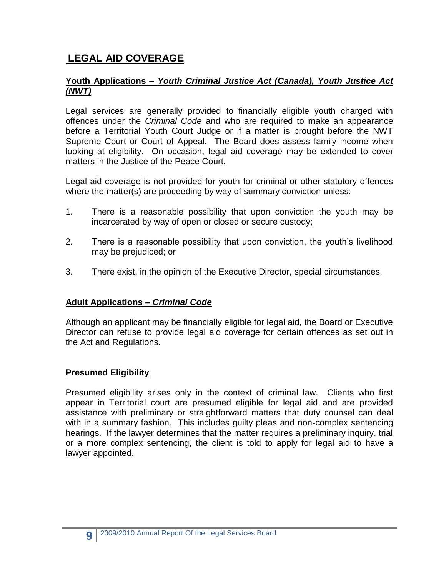# **LEGAL AID COVERAGE**

### **Youth Applications –** *Youth Criminal Justice Act (Canada), Youth Justice Act (NWT)*

Legal services are generally provided to financially eligible youth charged with offences under the *Criminal Code* and who are required to make an appearance before a Territorial Youth Court Judge or if a matter is brought before the NWT Supreme Court or Court of Appeal. The Board does assess family income when looking at eligibility. On occasion, legal aid coverage may be extended to cover matters in the Justice of the Peace Court.

Legal aid coverage is not provided for youth for criminal or other statutory offences where the matter(s) are proceeding by way of summary conviction unless:

- 1. There is a reasonable possibility that upon conviction the youth may be incarcerated by way of open or closed or secure custody;
- 2. There is a reasonable possibility that upon conviction, the youth's livelihood may be prejudiced; or
- 3. There exist, in the opinion of the Executive Director, special circumstances.

### **Adult Applications –** *Criminal Code*

Although an applicant may be financially eligible for legal aid, the Board or Executive Director can refuse to provide legal aid coverage for certain offences as set out in the Act and Regulations.

#### **Presumed Eligibility**

Presumed eligibility arises only in the context of criminal law. Clients who first appear in Territorial court are presumed eligible for legal aid and are provided assistance with preliminary or straightforward matters that duty counsel can deal with in a summary fashion. This includes guilty pleas and non-complex sentencing hearings. If the lawyer determines that the matter requires a preliminary inquiry, trial or a more complex sentencing, the client is told to apply for legal aid to have a lawyer appointed.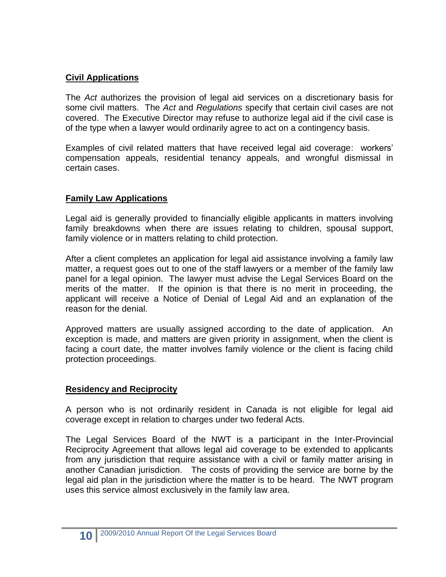### **Civil Applications**

The *Act* authorizes the provision of legal aid services on a discretionary basis for some civil matters. The *Act* and *Regulations* specify that certain civil cases are not covered. The Executive Director may refuse to authorize legal aid if the civil case is of the type when a lawyer would ordinarily agree to act on a contingency basis.

Examples of civil related matters that have received legal aid coverage: workers' compensation appeals, residential tenancy appeals, and wrongful dismissal in certain cases.

### **Family Law Applications**

Legal aid is generally provided to financially eligible applicants in matters involving family breakdowns when there are issues relating to children, spousal support, family violence or in matters relating to child protection.

After a client completes an application for legal aid assistance involving a family law matter, a request goes out to one of the staff lawyers or a member of the family law panel for a legal opinion. The lawyer must advise the Legal Services Board on the merits of the matter. If the opinion is that there is no merit in proceeding, the applicant will receive a Notice of Denial of Legal Aid and an explanation of the reason for the denial.

Approved matters are usually assigned according to the date of application. An exception is made, and matters are given priority in assignment, when the client is facing a court date, the matter involves family violence or the client is facing child protection proceedings.

### **Residency and Reciprocity**

A person who is not ordinarily resident in Canada is not eligible for legal aid coverage except in relation to charges under two federal Acts.

The Legal Services Board of the NWT is a participant in the Inter-Provincial Reciprocity Agreement that allows legal aid coverage to be extended to applicants from any jurisdiction that require assistance with a civil or family matter arising in another Canadian jurisdiction. The costs of providing the service are borne by the legal aid plan in the jurisdiction where the matter is to be heard. The NWT program uses this service almost exclusively in the family law area.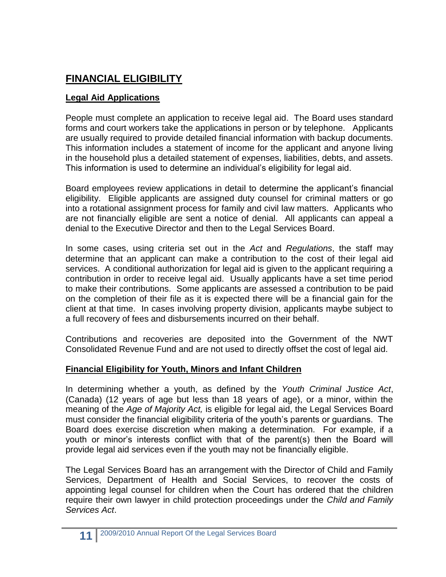# **FINANCIAL ELIGIBILITY**

### **Legal Aid Applications**

People must complete an application to receive legal aid. The Board uses standard forms and court workers take the applications in person or by telephone. Applicants are usually required to provide detailed financial information with backup documents. This information includes a statement of income for the applicant and anyone living in the household plus a detailed statement of expenses, liabilities, debts, and assets. This information is used to determine an individual's eligibility for legal aid.

Board employees review applications in detail to determine the applicant's financial eligibility. Eligible applicants are assigned duty counsel for criminal matters or go into a rotational assignment process for family and civil law matters. Applicants who are not financially eligible are sent a notice of denial. All applicants can appeal a denial to the Executive Director and then to the Legal Services Board.

In some cases, using criteria set out in the *Act* and *Regulations*, the staff may determine that an applicant can make a contribution to the cost of their legal aid services. A conditional authorization for legal aid is given to the applicant requiring a contribution in order to receive legal aid. Usually applicants have a set time period to make their contributions. Some applicants are assessed a contribution to be paid on the completion of their file as it is expected there will be a financial gain for the client at that time. In cases involving property division, applicants maybe subject to a full recovery of fees and disbursements incurred on their behalf.

Contributions and recoveries are deposited into the Government of the NWT Consolidated Revenue Fund and are not used to directly offset the cost of legal aid.

### **Financial Eligibility for Youth, Minors and Infant Children**

In determining whether a youth, as defined by the *Youth Criminal Justice Act*, (Canada) (12 years of age but less than 18 years of age), or a minor, within the meaning of the *Age of Majority Act,* is eligible for legal aid, the Legal Services Board must consider the financial eligibility criteria of the youth's parents or guardians. The Board does exercise discretion when making a determination. For example, if a youth or minor's interests conflict with that of the parent(s) then the Board will provide legal aid services even if the youth may not be financially eligible.

The Legal Services Board has an arrangement with the Director of Child and Family Services, Department of Health and Social Services, to recover the costs of appointing legal counsel for children when the Court has ordered that the children require their own lawyer in child protection proceedings under the *Child and Family Services Act*.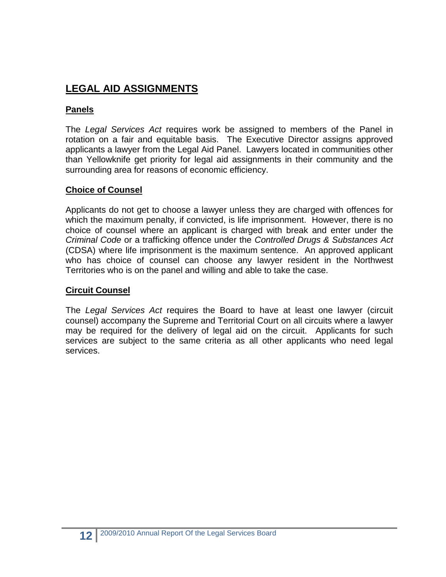# **LEGAL AID ASSIGNMENTS**

### **Panels**

The *Legal Services Act* requires work be assigned to members of the Panel in rotation on a fair and equitable basis. The Executive Director assigns approved applicants a lawyer from the Legal Aid Panel. Lawyers located in communities other than Yellowknife get priority for legal aid assignments in their community and the surrounding area for reasons of economic efficiency.

### **Choice of Counsel**

Applicants do not get to choose a lawyer unless they are charged with offences for which the maximum penalty, if convicted, is life imprisonment. However, there is no choice of counsel where an applicant is charged with break and enter under the *Criminal Code* or a trafficking offence under the *Controlled Drugs & Substances Act* (CDSA) where life imprisonment is the maximum sentence. An approved applicant who has choice of counsel can choose any lawyer resident in the Northwest Territories who is on the panel and willing and able to take the case.

### **Circuit Counsel**

The *Legal Services Act* requires the Board to have at least one lawyer (circuit counsel) accompany the Supreme and Territorial Court on all circuits where a lawyer may be required for the delivery of legal aid on the circuit. Applicants for such services are subject to the same criteria as all other applicants who need legal services.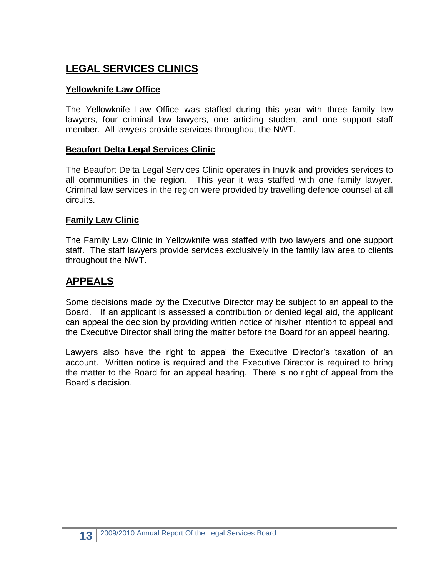# **LEGAL SERVICES CLINICS**

### **Yellowknife Law Office**

The Yellowknife Law Office was staffed during this year with three family law lawyers, four criminal law lawyers, one articling student and one support staff member. All lawyers provide services throughout the NWT.

### **Beaufort Delta Legal Services Clinic**

The Beaufort Delta Legal Services Clinic operates in Inuvik and provides services to all communities in the region. This year it was staffed with one family lawyer. Criminal law services in the region were provided by travelling defence counsel at all circuits.

### **Family Law Clinic**

The Family Law Clinic in Yellowknife was staffed with two lawyers and one support staff. The staff lawyers provide services exclusively in the family law area to clients throughout the NWT.

## **APPEALS**

Some decisions made by the Executive Director may be subject to an appeal to the Board. If an applicant is assessed a contribution or denied legal aid, the applicant can appeal the decision by providing written notice of his/her intention to appeal and the Executive Director shall bring the matter before the Board for an appeal hearing.

Lawyers also have the right to appeal the Executive Director's taxation of an account. Written notice is required and the Executive Director is required to bring the matter to the Board for an appeal hearing. There is no right of appeal from the Board's decision.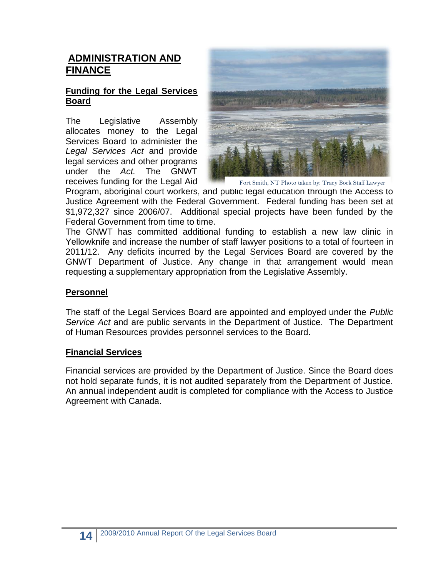### **ADMINISTRATION AND FINANCE**

### **Funding for the Legal Services Board**

The Legislative Assembly allocates money to the Legal Services Board to administer the *Legal Services Act* and provide legal services and other programs under the *Act.* The GNWT receives funding for the Legal Aid



Fort Smith, NT Photo taken by: Tracy Bock Staff Lawyer

Program, aboriginal court workers, and public legal education through the Access to Justice Agreement with the Federal Government. Federal funding has been set at \$1,972,327 since 2006/07. Additional special projects have been funded by the Federal Government from time to time.

The GNWT has committed additional funding to establish a new law clinic in Yellowknife and increase the number of staff lawyer positions to a total of fourteen in 2011/12. Any deficits incurred by the Legal Services Board are covered by the GNWT Department of Justice. Any change in that arrangement would mean requesting a supplementary appropriation from the Legislative Assembly.

### **Personnel**

The staff of the Legal Services Board are appointed and employed under the *Public Service Act* and are public servants in the Department of Justice. The Department of Human Resources provides personnel services to the Board.

### **Financial Services**

Financial services are provided by the Department of Justice. Since the Board does not hold separate funds, it is not audited separately from the Department of Justice. An annual independent audit is completed for compliance with the Access to Justice Agreement with Canada.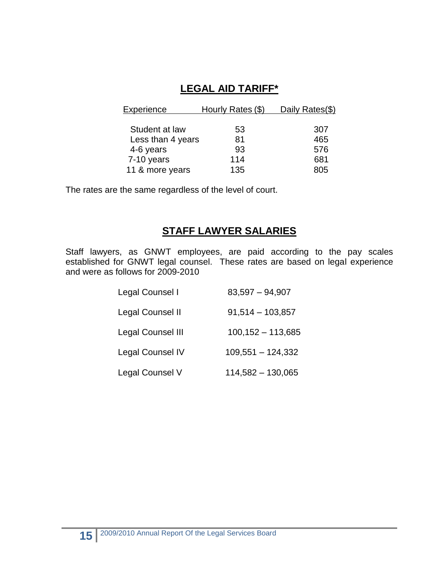## **LEGAL AID TARIFF\***

| Experience        | Hourly Rates (\$) | Daily Rates(\$) |  |
|-------------------|-------------------|-----------------|--|
|                   |                   |                 |  |
| Student at law    | 53                | 307             |  |
| Less than 4 years | 81                | 465             |  |
| 4-6 years         | 93                | 576             |  |
| 7-10 years        | 114               | 681             |  |
| 11 & more years   | 135               | 805             |  |

The rates are the same regardless of the level of court.

### **STAFF LAWYER SALARIES**

Staff lawyers, as GNWT employees, are paid according to the pay scales established for GNWT legal counsel. These rates are based on legal experience and were as follows for 2009-2010

| Legal Counsel I          | $83,597 - 94,907$     |
|--------------------------|-----------------------|
| Legal Counsel II         | $91,514 - 103,857$    |
| <b>Legal Counsel III</b> | $100, 152 - 113, 685$ |
| <b>Legal Counsel IV</b>  | $109,551 - 124,332$   |
| Legal Counsel V          | $114,582 - 130,065$   |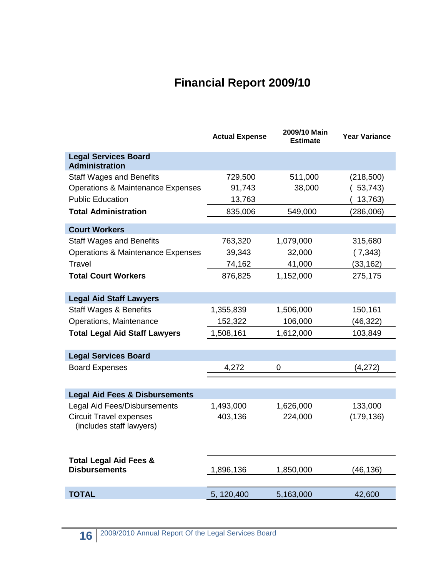# **Financial Report 2009/10**

|                                                            | <b>Actual Expense</b> | 2009/10 Main<br><b>Estimate</b> | <b>Year Variance</b> |
|------------------------------------------------------------|-----------------------|---------------------------------|----------------------|
| <b>Legal Services Board</b><br><b>Administration</b>       |                       |                                 |                      |
| <b>Staff Wages and Benefits</b>                            | 729,500               | 511,000                         | (218,500)            |
| <b>Operations &amp; Maintenance Expenses</b>               | 91,743                | 38,000                          | (53,743)             |
| <b>Public Education</b>                                    | 13,763                |                                 | 13,763)              |
| <b>Total Administration</b>                                | 835,006               | 549,000                         | (286,006)            |
| <b>Court Workers</b>                                       |                       |                                 |                      |
| <b>Staff Wages and Benefits</b>                            | 763,320               | 1,079,000                       | 315,680              |
| <b>Operations &amp; Maintenance Expenses</b>               | 39,343                | 32,000                          | (7,343)              |
| Travel                                                     | 74,162                | 41,000                          | (33, 162)            |
| <b>Total Court Workers</b>                                 | 876,825               | 1,152,000                       | 275,175              |
|                                                            |                       |                                 |                      |
| <b>Legal Aid Staff Lawyers</b>                             |                       |                                 |                      |
| <b>Staff Wages &amp; Benefits</b>                          | 1,355,839             | 1,506,000                       | 150,161              |
| Operations, Maintenance                                    | 152,322               | 106,000                         | (46, 322)            |
| <b>Total Legal Aid Staff Lawyers</b>                       | 1,508,161             | 1,612,000                       | 103,849              |
|                                                            |                       |                                 |                      |
| <b>Legal Services Board</b>                                |                       |                                 |                      |
| <b>Board Expenses</b>                                      | 4,272                 | 0                               | (4,272)              |
|                                                            |                       |                                 |                      |
| <b>Legal Aid Fees &amp; Disbursements</b>                  |                       |                                 |                      |
| Legal Aid Fees/Disbursements                               | 1,493,000             | 1,626,000                       | 133,000              |
| <b>Circuit Travel expenses</b><br>(includes staff lawyers) | 403,136               | 224,000                         | (179, 136)           |
|                                                            |                       |                                 |                      |
| <b>Total Legal Aid Fees &amp;</b><br><b>Disbursements</b>  | 1,896,136             | 1,850,000                       | (46, 136)            |
|                                                            |                       |                                 |                      |
| <b>TOTAL</b>                                               | 5, 120, 400           | 5,163,000                       | 42,600               |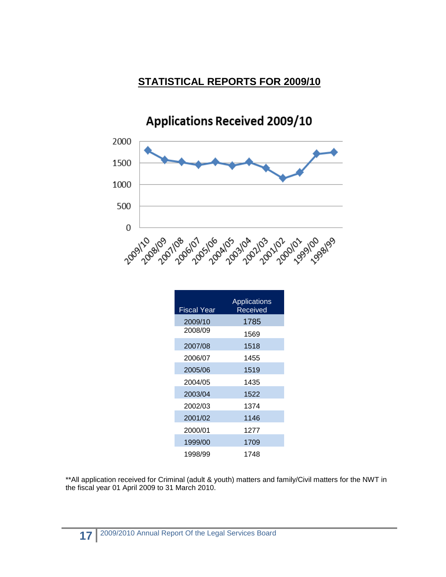# **STATISTICAL REPORTS FOR 2009/10**



**Applications Received 2009/10** 

| Fiscal Year | <b>Applications</b><br>Received |
|-------------|---------------------------------|
| 2009/10     | 1785                            |
| 2008/09     | 1569                            |
| 2007/08     | 1518                            |
| 2006/07     | 1455                            |
| 2005/06     | 1519                            |
| 2004/05     | 1435                            |
| 2003/04     | 1522                            |
| 2002/03     | 1374                            |
| 2001/02     | 1146                            |
| 2000/01     | 1277                            |
| 1999/00     | 1709                            |
| 1998/99     | 1748                            |

\*\*All application received for Criminal (adult & youth) matters and family/Civil matters for the NWT in the fiscal year 01 April 2009 to 31 March 2010.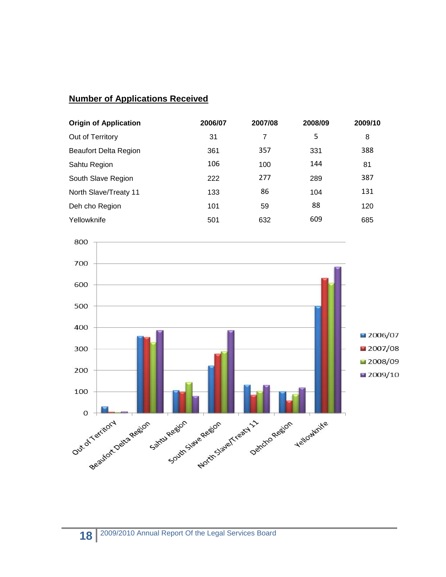# **Number of Applications Received**

| <b>Origin of Application</b> | 2006/07 | 2007/08 | 2008/09 | 2009/10 |
|------------------------------|---------|---------|---------|---------|
| Out of Territory             | 31      | 7       | 5       | 8       |
| <b>Beaufort Delta Region</b> | 361     | 357     | 331     | 388     |
| Sahtu Region                 | 106     | 100     | 144     | 81      |
| South Slave Region           | 222     | 277     | 289     | 387     |
| North Slave/Treaty 11        | 133     | 86      | 104     | 131     |
| Deh cho Region               | 101     | 59      | 88      | 120     |
| Yellowknife                  | 501     | 632     | 609     | 685     |

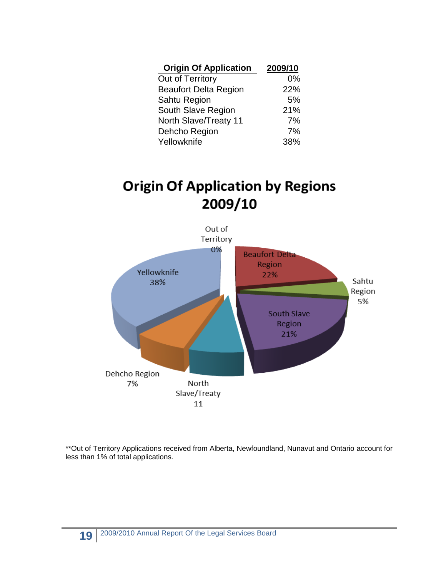| <b>Origin Of Application</b> | 2009/10 |
|------------------------------|---------|
| Out of Territory             | 0%      |
| <b>Beaufort Delta Region</b> | 22%     |
| Sahtu Region                 | 5%      |
| South Slave Region           | 21%     |
| North Slave/Treaty 11        | 7%      |
| Dehcho Region                | 7%      |
| Yellowknife                  | 38%     |

# **Origin Of Application by Regions** 2009/10



\*\*Out of Territory Applications received from Alberta, Newfoundland, Nunavut and Ontario account for less than 1% of total applications.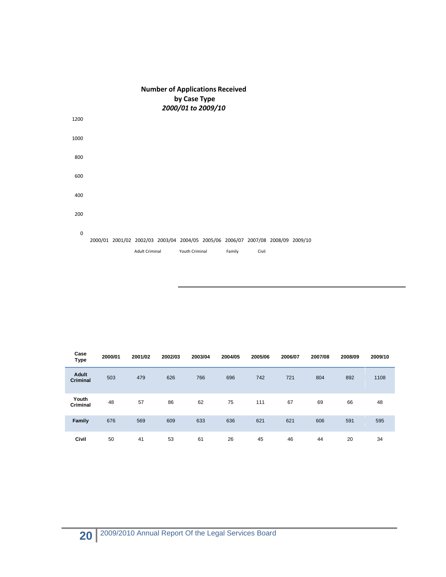

| Case<br><b>Type</b>             | 2000/01 | 2001/02 | 2002/03 | 2003/04 | 2004/05 | 2005/06 | 2006/07 | 2007/08 | 2008/09 | 2009/10 |
|---------------------------------|---------|---------|---------|---------|---------|---------|---------|---------|---------|---------|
| <b>Adult</b><br><b>Criminal</b> | 503     | 479     | 626     | 766     | 696     | 742     | 721     | 804     | 892     | 1108    |
| Youth<br>Criminal               | 48      | 57      | 86      | 62      | 75      | 111     | 67      | 69      | 66      | 48      |
| Family                          | 676     | 569     | 609     | 633     | 636     | 621     | 621     | 606     | 591     | 595     |
| Civil                           | 50      | 41      | 53      | 61      | 26      | 45      | 46      | 44      | 20      | 34      |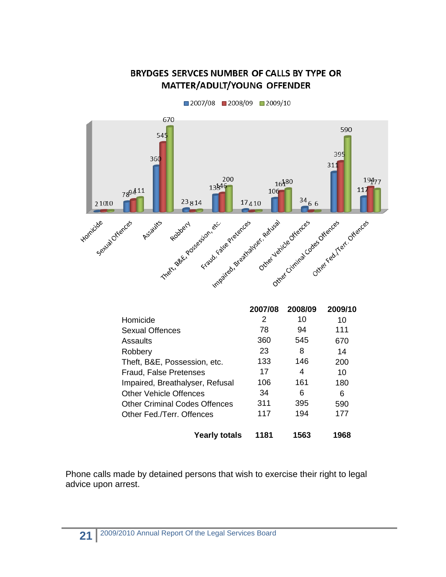### BRYDGES SERVCES NUMBER OF CALLS BY TYPE OR **MATTER/ADULT/YOUNG OFFENDER**



 $2007/08$  2008/09 2009/10

|                                      | 2007/08 | 2008/09 | 2009/10 |
|--------------------------------------|---------|---------|---------|
| Homicide                             | 2       | 10      | 10      |
| <b>Sexual Offences</b>               | 78      | 94      | 111     |
| Assaults                             | 360     | 545     | 670     |
| Robbery                              | 23      | 8       | 14      |
| Theft, B&E, Possession, etc.         | 133     | 146     | 200     |
| <b>Fraud, False Pretenses</b>        | 17      | 4       | 10      |
| Impaired, Breathalyser, Refusal      | 106     | 161     | 180     |
| Other Vehicle Offences               | 34      | 6       | 6       |
| <b>Other Criminal Codes Offences</b> | 311     | 395     | 590     |
| Other Fed./Terr. Offences            | 117     | 194     | 177     |
| <b>Yearly totals</b>                 | 1181    | 1563    | 1968    |

Phone calls made by detained persons that wish to exercise their right to legal advice upon arrest.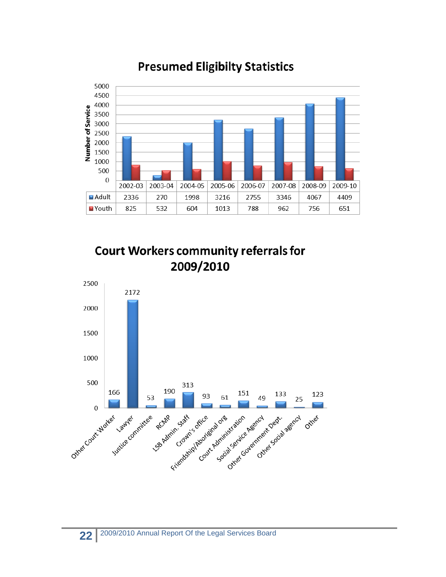

# **Presumed Eligibilty Statistics**

**Court Workers community referrals for** 2009/2010

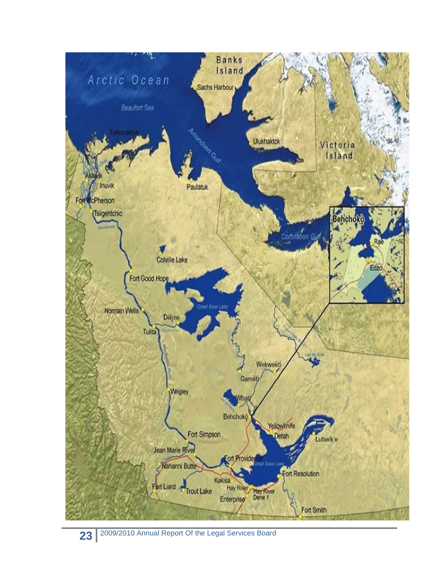